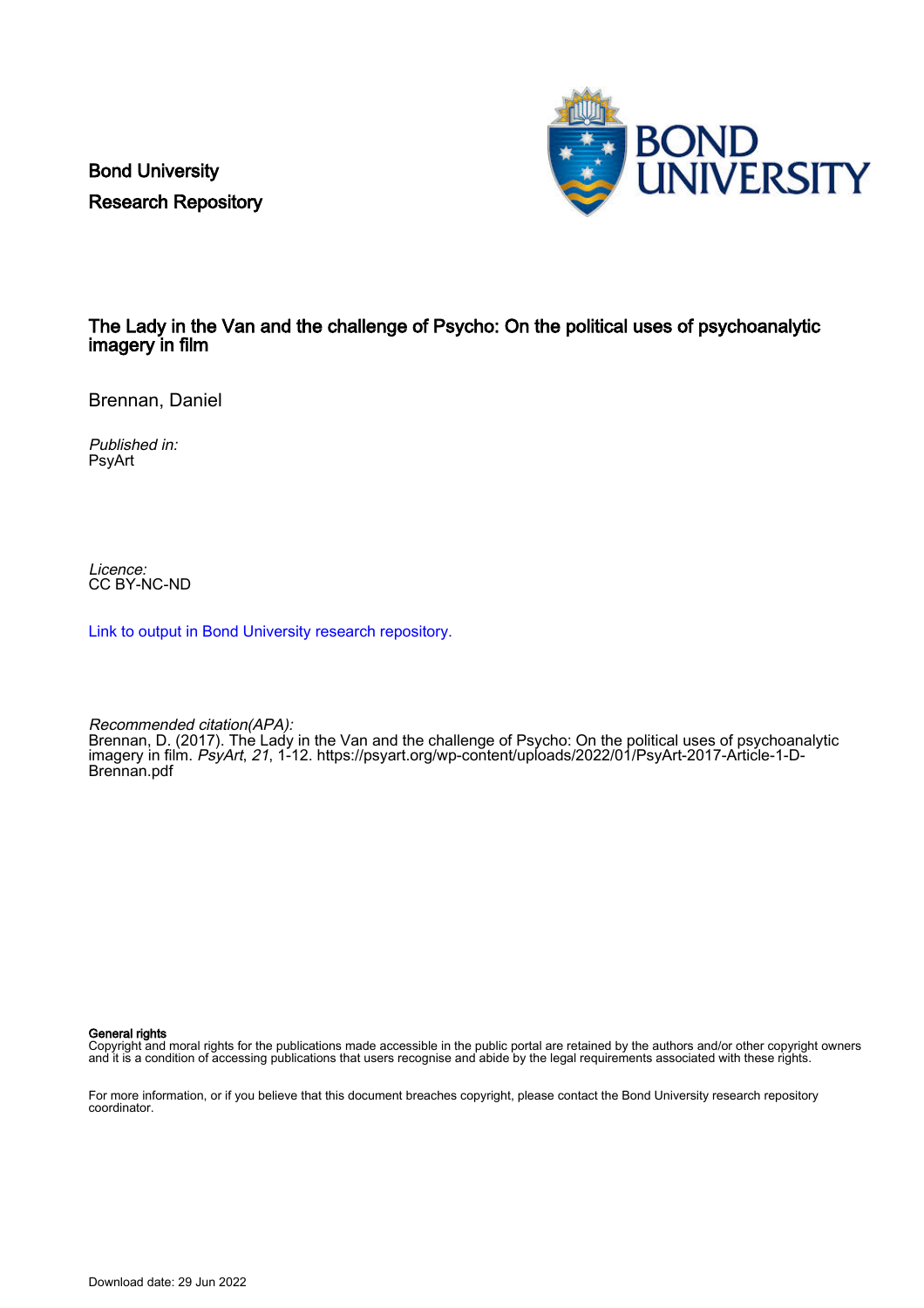Bond University Research Repository



# The Lady in the Van and the challenge of Psycho: On the political uses of psychoanalytic imagery in film

Brennan, Daniel

Published in: PsyArt

Licence: CC BY-NC-ND

[Link to output in Bond University research repository.](https://research.bond.edu.au/en/publications/cc3d28f6-41b4-4e4b-a9a6-2575d4d5b7fd)

Recommended citation(APA): Brennan, D. (2017). The Lady in the Van and the challenge of Psycho: On the political uses of psychoanalytic imagery in film. PsyArt, 21, 1-12. [https://psyart.org/wp-content/uploads/2022/01/PsyArt-2017-Article-1-D-](https://psyart.org/wp-content/uploads/2022/01/PsyArt-2017-Article-1-D-Brennan.pdf)[Brennan.pdf](https://psyart.org/wp-content/uploads/2022/01/PsyArt-2017-Article-1-D-Brennan.pdf)

General rights

Copyright and moral rights for the publications made accessible in the public portal are retained by the authors and/or other copyright owners and it is a condition of accessing publications that users recognise and abide by the legal requirements associated with these rights.

For more information, or if you believe that this document breaches copyright, please contact the Bond University research repository coordinator.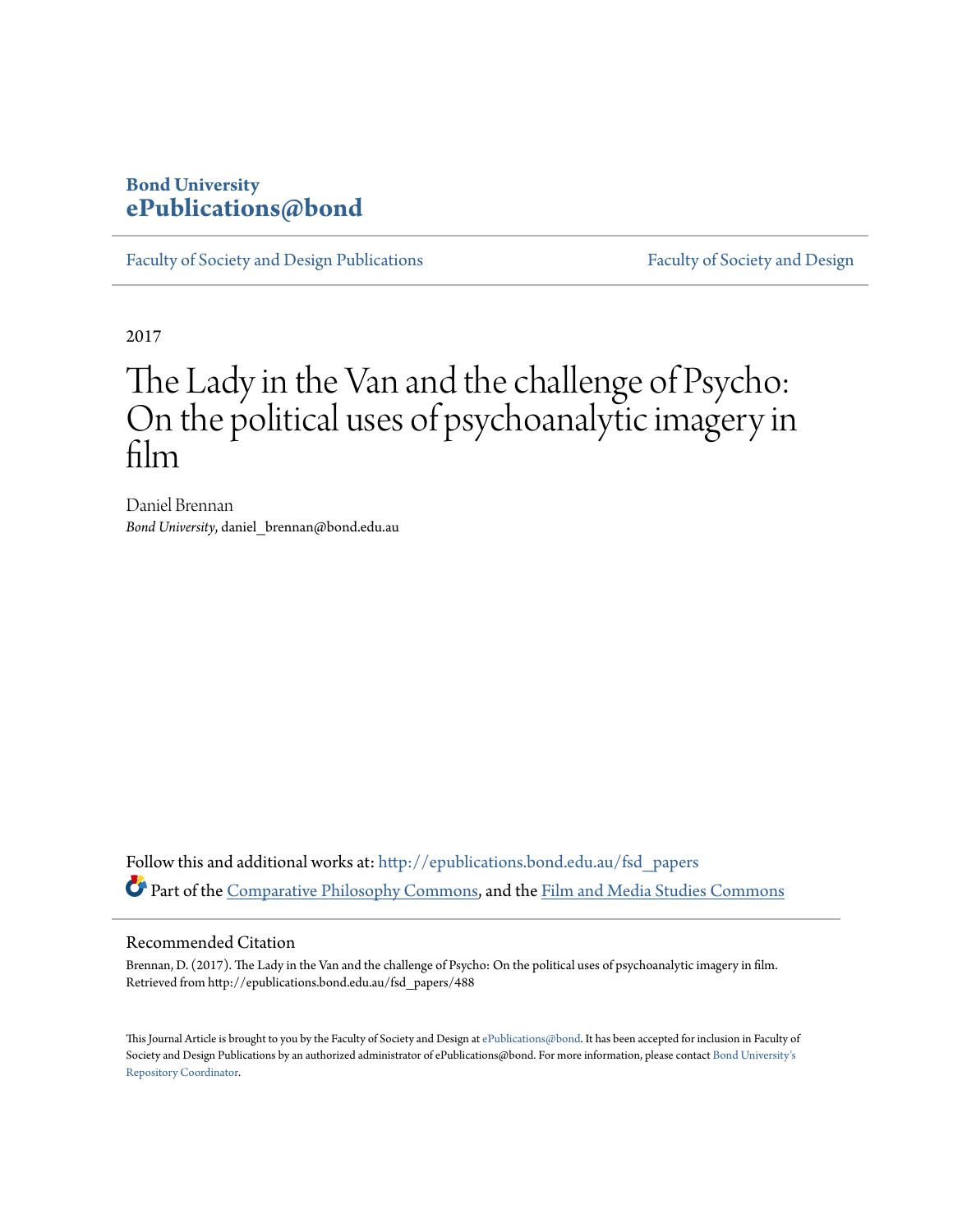# **Bond University [ePublications@bond](http://epublications.bond.edu.au?utm_source=epublications.bond.edu.au%2Ffsd_papers%2F488&utm_medium=PDF&utm_campaign=PDFCoverPages)**

[Faculty of Society and Design Publications](http://epublications.bond.edu.au/fsd_papers?utm_source=epublications.bond.edu.au%2Ffsd_papers%2F488&utm_medium=PDF&utm_campaign=PDFCoverPages) [Faculty of Society and Design](http://epublications.bond.edu.au/fsd?utm_source=epublications.bond.edu.au%2Ffsd_papers%2F488&utm_medium=PDF&utm_campaign=PDFCoverPages)

2017

# The Lady in the Van and the challenge of Psycho: On the political uses of psychoanalytic imagery in film

Daniel Brennan *Bond University*, daniel\_brennan@bond.edu.au

Follow this and additional works at: [http://epublications.bond.edu.au/fsd\\_papers](http://epublications.bond.edu.au/fsd_papers?utm_source=epublications.bond.edu.au%2Ffsd_papers%2F488&utm_medium=PDF&utm_campaign=PDFCoverPages) Part of the [Comparative Philosophy Commons](http://network.bepress.com/hgg/discipline/1343?utm_source=epublications.bond.edu.au%2Ffsd_papers%2F488&utm_medium=PDF&utm_campaign=PDFCoverPages), and the [Film and Media Studies Commons](http://network.bepress.com/hgg/discipline/563?utm_source=epublications.bond.edu.au%2Ffsd_papers%2F488&utm_medium=PDF&utm_campaign=PDFCoverPages)

#### Recommended Citation

Brennan, D. (2017). The Lady in the Van and the challenge of Psycho: On the political uses of psychoanalytic imagery in film. Retrieved from http://epublications.bond.edu.au/fsd\_papers/488

This Journal Article is brought to you by the Faculty of Society and Design at [ePublications@bond](http://epublications.bond.edu.au). It has been accepted for inclusion in Faculty of Society and Design Publications by an authorized administrator of ePublications@bond. For more information, please contact [Bond University's](mailto:acass@bond.edu.au) [Repository Coordinator](mailto:acass@bond.edu.au).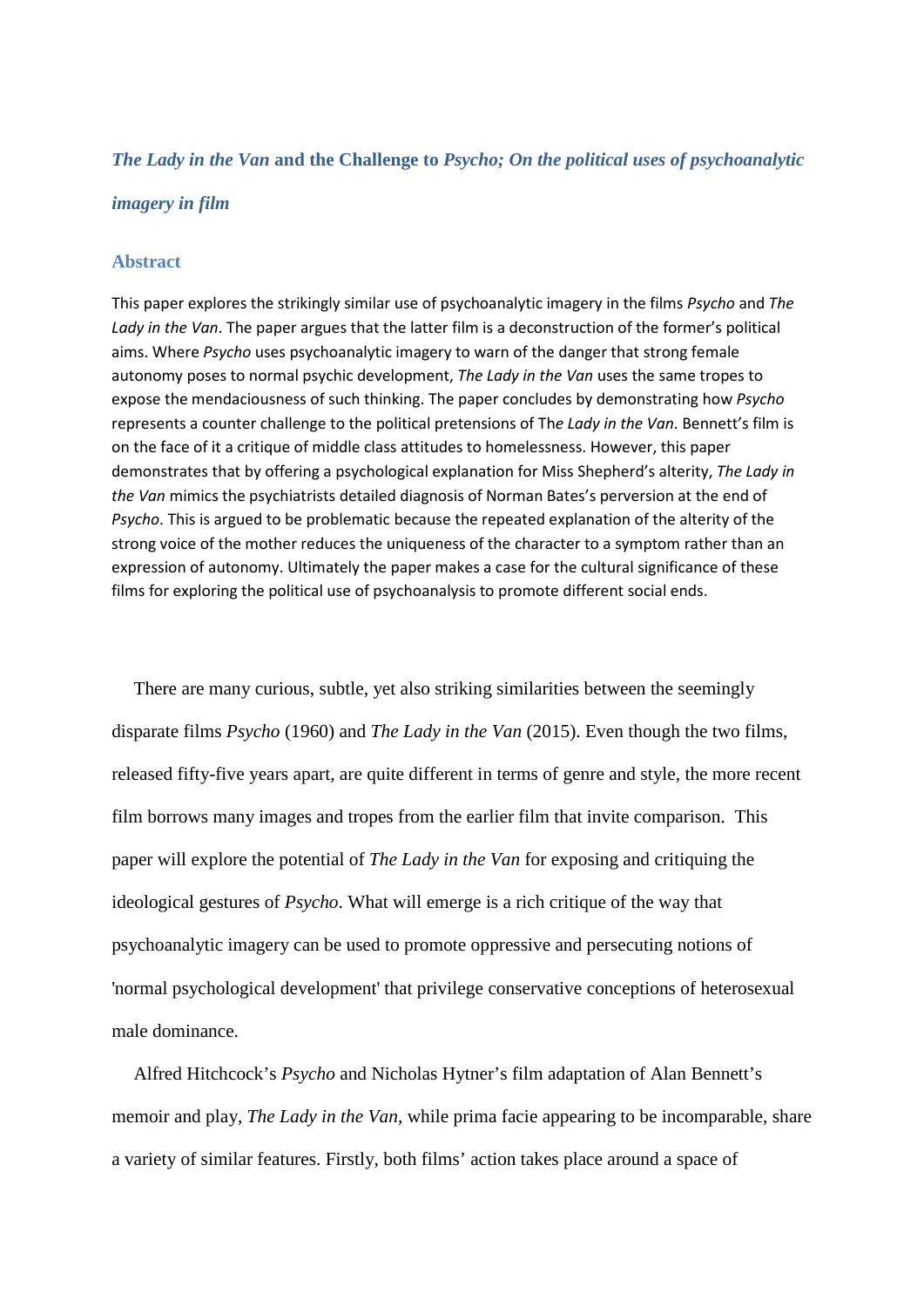### *The Lady in the Van* **and the Challenge to** *Psycho; On the political uses of psychoanalytic*

#### *imagery in film*

#### **Abstract**

This paper explores the strikingly similar use of psychoanalytic imagery in the films *Psycho* and *The Lady in the Van*. The paper argues that the latter film is a deconstruction of the former's political aims. Where *Psycho* uses psychoanalytic imagery to warn of the danger that strong female autonomy poses to normal psychic development, *The Lady in the Van* uses the same tropes to expose the mendaciousness of such thinking. The paper concludes by demonstrating how *Psycho* represents a counter challenge to the political pretensions of Th*e Lady in the Van*. Bennett's film is on the face of it a critique of middle class attitudes to homelessness. However, this paper demonstrates that by offering a psychological explanation for Miss Shepherd's alterity, *The Lady in the Van* mimics the psychiatrists detailed diagnosis of Norman Bates's perversion at the end of *Psycho*. This is argued to be problematic because the repeated explanation of the alterity of the strong voice of the mother reduces the uniqueness of the character to a symptom rather than an expression of autonomy. Ultimately the paper makes a case for the cultural significance of these films for exploring the political use of psychoanalysis to promote different social ends.

There are many curious, subtle, yet also striking similarities between the seemingly disparate films *Psycho* (1960) and *The Lady in the Van* (2015). Even though the two films, released fifty-five years apart, are quite different in terms of genre and style, the more recent film borrows many images and tropes from the earlier film that invite comparison. This paper will explore the potential of *The Lady in the Van* for exposing and critiquing the ideological gestures of *Psycho*. What will emerge is a rich critique of the way that psychoanalytic imagery can be used to promote oppressive and persecuting notions of 'normal psychological development' that privilege conservative conceptions of heterosexual male dominance.

Alfred Hitchcock's *Psycho* and Nicholas Hytner's film adaptation of Alan Bennett's memoir and play, *The Lady in the Van*, while prima facie appearing to be incomparable, share a variety of similar features. Firstly, both films' action takes place around a space of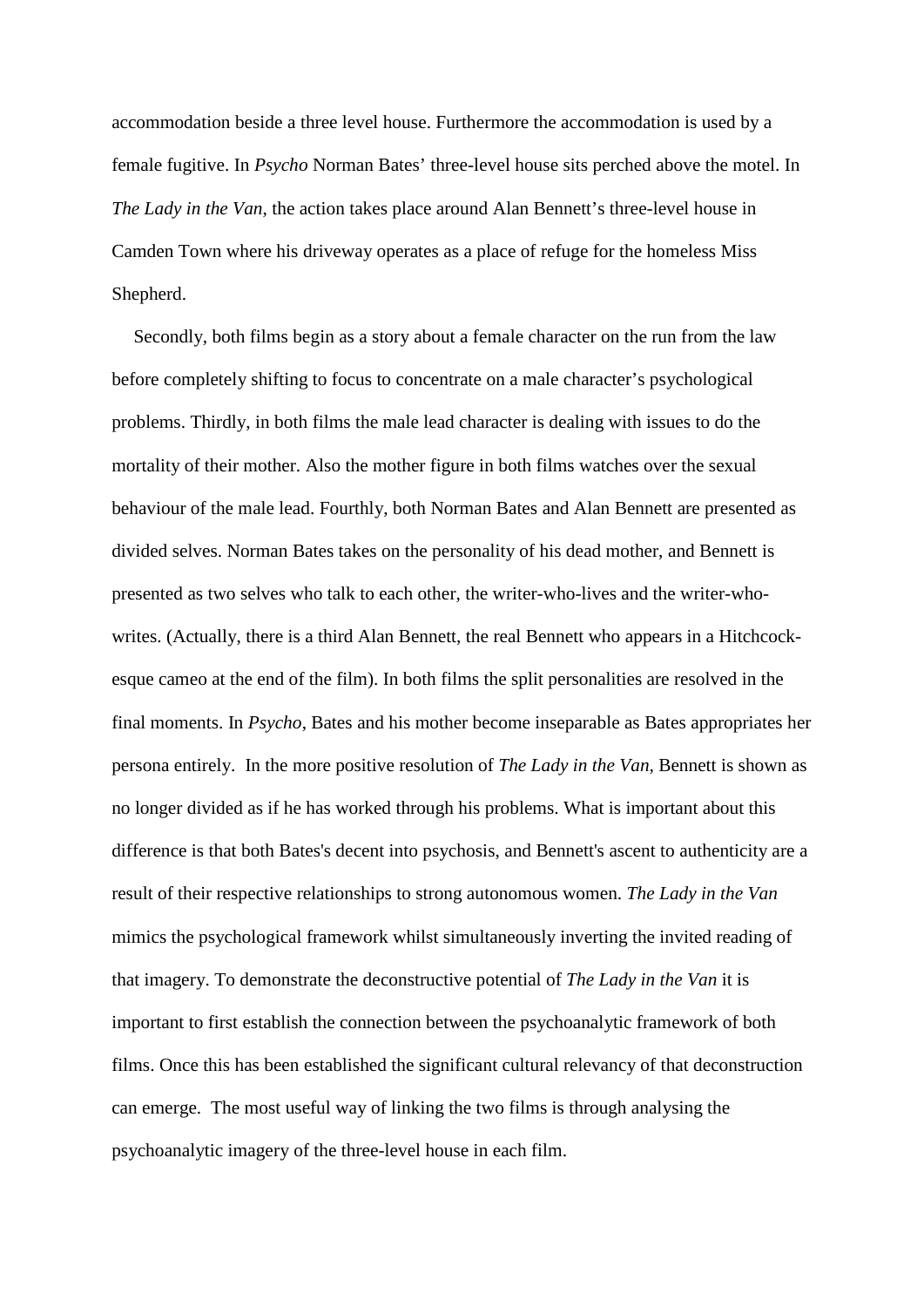accommodation beside a three level house. Furthermore the accommodation is used by a female fugitive. In *Psycho* Norman Bates' three-level house sits perched above the motel. In *The Lady in the Van*, the action takes place around Alan Bennett's three-level house in Camden Town where his driveway operates as a place of refuge for the homeless Miss Shepherd.

Secondly, both films begin as a story about a female character on the run from the law before completely shifting to focus to concentrate on a male character's psychological problems. Thirdly, in both films the male lead character is dealing with issues to do the mortality of their mother. Also the mother figure in both films watches over the sexual behaviour of the male lead. Fourthly, both Norman Bates and Alan Bennett are presented as divided selves. Norman Bates takes on the personality of his dead mother, and Bennett is presented as two selves who talk to each other, the writer-who-lives and the writer-whowrites. (Actually, there is a third Alan Bennett, the real Bennett who appears in a Hitchcockesque cameo at the end of the film). In both films the split personalities are resolved in the final moments. In *Psycho*, Bates and his mother become inseparable as Bates appropriates her persona entirely. In the more positive resolution of *The Lady in the Van,* Bennett is shown as no longer divided as if he has worked through his problems. What is important about this difference is that both Bates's decent into psychosis, and Bennett's ascent to authenticity are a result of their respective relationships to strong autonomous women. *The Lady in the Van*  mimics the psychological framework whilst simultaneously inverting the invited reading of that imagery. To demonstrate the deconstructive potential of *The Lady in the Van* it is important to first establish the connection between the psychoanalytic framework of both films. Once this has been established the significant cultural relevancy of that deconstruction can emerge. The most useful way of linking the two films is through analysing the psychoanalytic imagery of the three-level house in each film.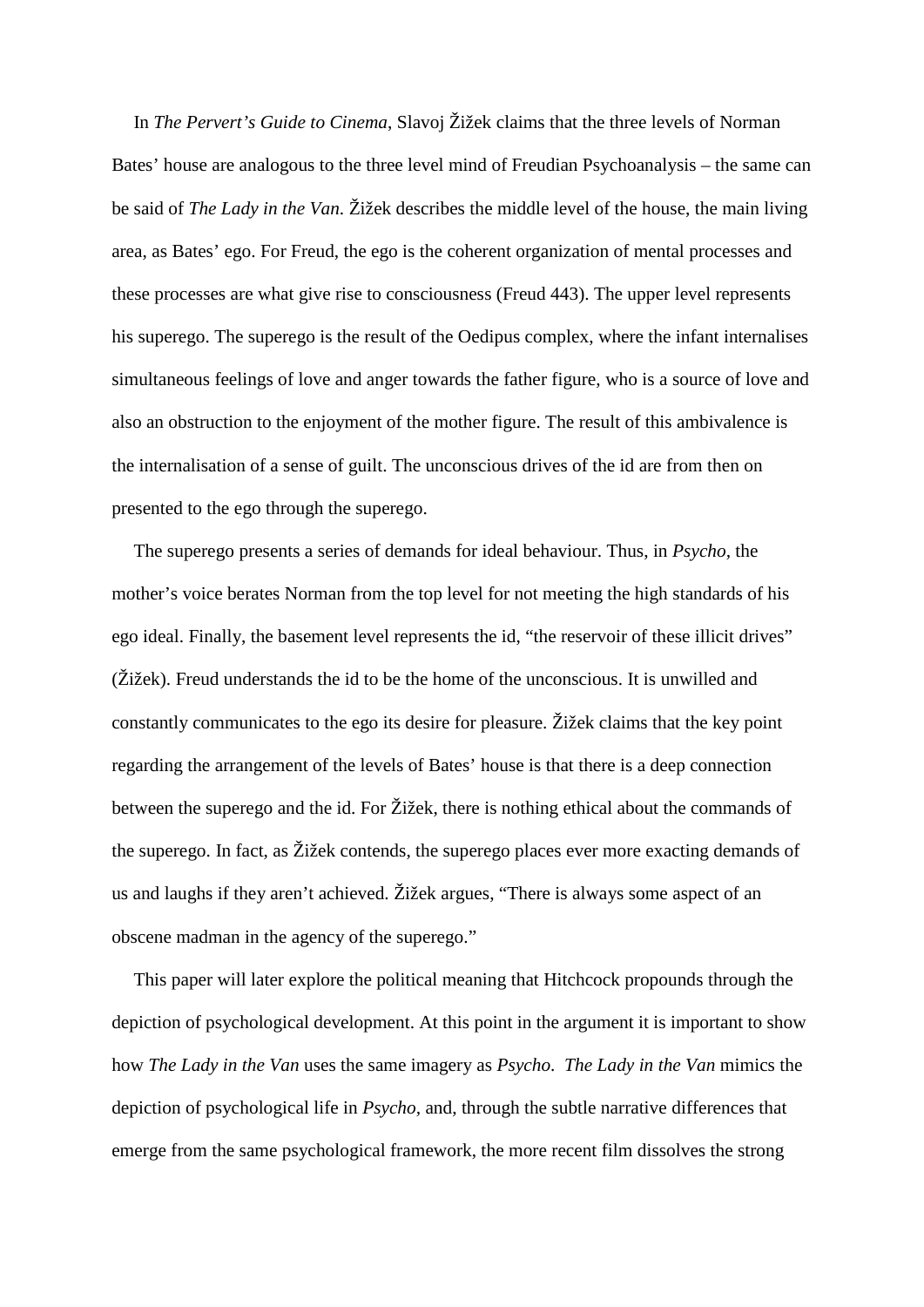In *The Pervert's Guide to Cinema*, Slavoj Žižek claims that the three levels of Norman Bates' house are analogous to the three level mind of Freudian Psychoanalysis – the same can be said of *The Lady in the Van*. Žižek describes the middle level of the house, the main living area, as Bates' ego. For Freud, the ego is the coherent organization of mental processes and these processes are what give rise to consciousness (Freud 443). The upper level represents his superego. The superego is the result of the Oedipus complex, where the infant internalises simultaneous feelings of love and anger towards the father figure, who is a source of love and also an obstruction to the enjoyment of the mother figure. The result of this ambivalence is the internalisation of a sense of guilt. The unconscious drives of the id are from then on presented to the ego through the superego.

The superego presents a series of demands for ideal behaviour. Thus, in *Psycho,* the mother's voice berates Norman from the top level for not meeting the high standards of his ego ideal. Finally, the basement level represents the id, "the reservoir of these illicit drives" (Žižek). Freud understands the id to be the home of the unconscious. It is unwilled and constantly communicates to the ego its desire for pleasure. Žižek claims that the key point regarding the arrangement of the levels of Bates' house is that there is a deep connection between the superego and the id. For Žižek, there is nothing ethical about the commands of the superego. In fact, as Žižek contends, the superego places ever more exacting demands of us and laughs if they aren't achieved. Žižek argues, "There is always some aspect of an obscene madman in the agency of the superego."

This paper will later explore the political meaning that Hitchcock propounds through the depiction of psychological development. At this point in the argument it is important to show how *The Lady in the Van* uses the same imagery as *Psycho*. *The Lady in the Van* mimics the depiction of psychological life in *Psycho,* and, through the subtle narrative differences that emerge from the same psychological framework, the more recent film dissolves the strong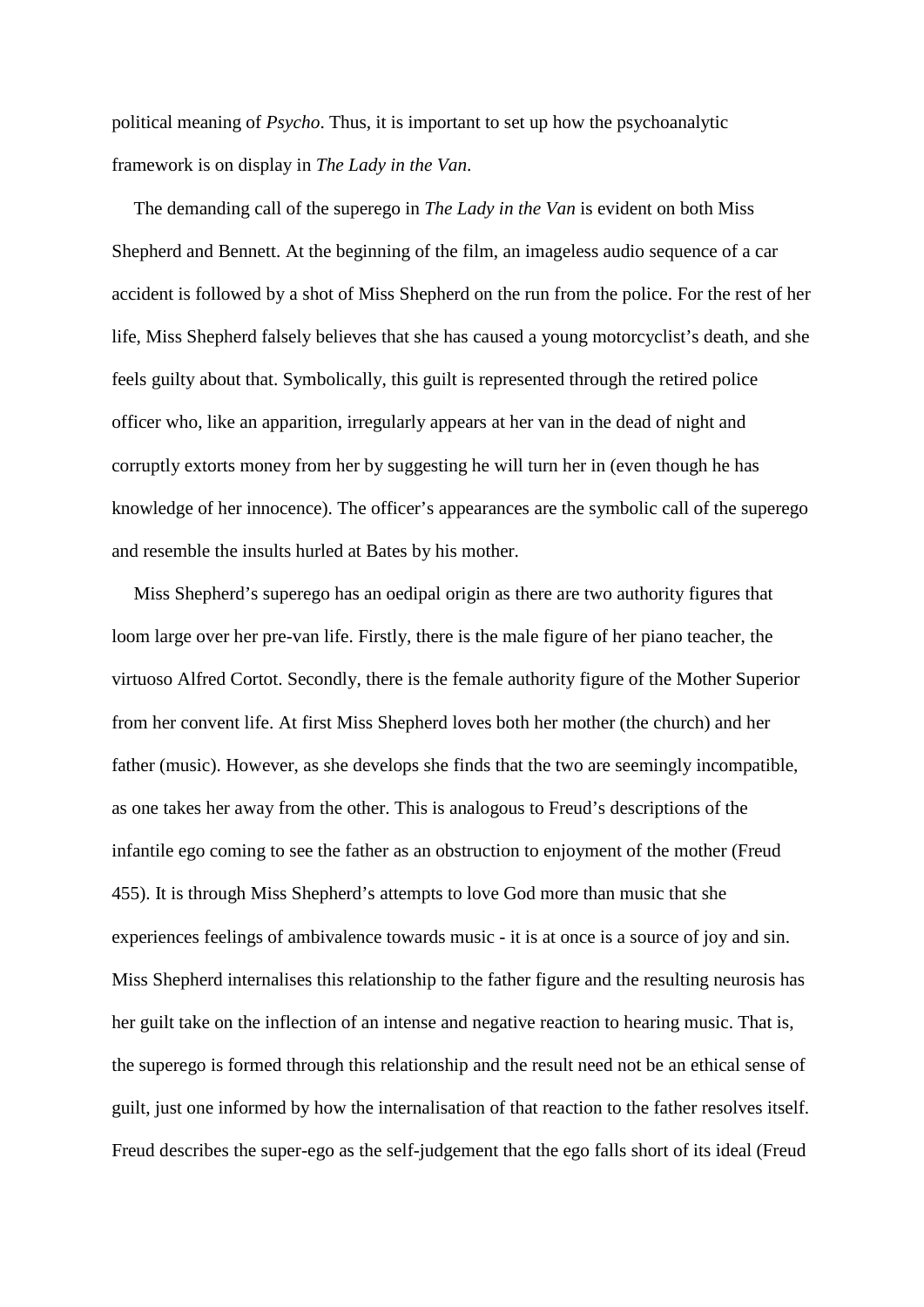political meaning of *Psycho*. Thus, it is important to set up how the psychoanalytic framework is on display in *The Lady in the Van*.

The demanding call of the superego in *The Lady in the Van* is evident on both Miss Shepherd and Bennett. At the beginning of the film, an imageless audio sequence of a car accident is followed by a shot of Miss Shepherd on the run from the police. For the rest of her life, Miss Shepherd falsely believes that she has caused a young motorcyclist's death, and she feels guilty about that. Symbolically, this guilt is represented through the retired police officer who, like an apparition, irregularly appears at her van in the dead of night and corruptly extorts money from her by suggesting he will turn her in (even though he has knowledge of her innocence). The officer's appearances are the symbolic call of the superego and resemble the insults hurled at Bates by his mother.

Miss Shepherd's superego has an oedipal origin as there are two authority figures that loom large over her pre-van life. Firstly, there is the male figure of her piano teacher, the virtuoso Alfred Cortot. Secondly, there is the female authority figure of the Mother Superior from her convent life. At first Miss Shepherd loves both her mother (the church) and her father (music). However, as she develops she finds that the two are seemingly incompatible, as one takes her away from the other. This is analogous to Freud's descriptions of the infantile ego coming to see the father as an obstruction to enjoyment of the mother (Freud 455). It is through Miss Shepherd's attempts to love God more than music that she experiences feelings of ambivalence towards music - it is at once is a source of joy and sin. Miss Shepherd internalises this relationship to the father figure and the resulting neurosis has her guilt take on the inflection of an intense and negative reaction to hearing music. That is, the superego is formed through this relationship and the result need not be an ethical sense of guilt, just one informed by how the internalisation of that reaction to the father resolves itself. Freud describes the super-ego as the self-judgement that the ego falls short of its ideal (Freud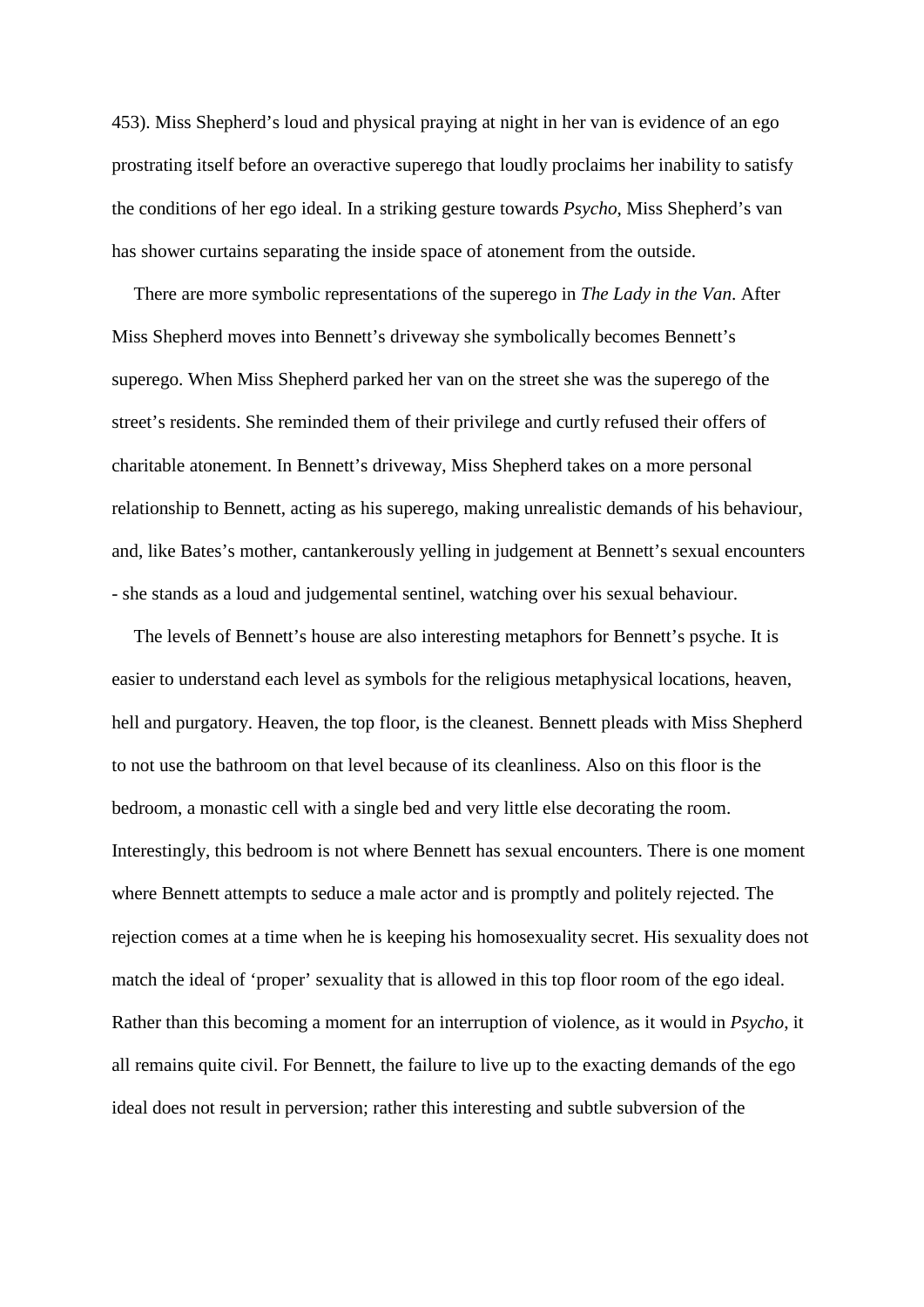453). Miss Shepherd's loud and physical praying at night in her van is evidence of an ego prostrating itself before an overactive superego that loudly proclaims her inability to satisfy the conditions of her ego ideal. In a striking gesture towards *Psycho*, Miss Shepherd's van has shower curtains separating the inside space of atonement from the outside.

There are more symbolic representations of the superego in *The Lady in the Van*. After Miss Shepherd moves into Bennett's driveway she symbolically becomes Bennett's superego. When Miss Shepherd parked her van on the street she was the superego of the street's residents. She reminded them of their privilege and curtly refused their offers of charitable atonement. In Bennett's driveway, Miss Shepherd takes on a more personal relationship to Bennett, acting as his superego, making unrealistic demands of his behaviour, and, like Bates's mother, cantankerously yelling in judgement at Bennett's sexual encounters - she stands as a loud and judgemental sentinel, watching over his sexual behaviour.

The levels of Bennett's house are also interesting metaphors for Bennett's psyche. It is easier to understand each level as symbols for the religious metaphysical locations, heaven, hell and purgatory. Heaven, the top floor, is the cleanest. Bennett pleads with Miss Shepherd to not use the bathroom on that level because of its cleanliness. Also on this floor is the bedroom, a monastic cell with a single bed and very little else decorating the room. Interestingly, this bedroom is not where Bennett has sexual encounters. There is one moment where Bennett attempts to seduce a male actor and is promptly and politely rejected. The rejection comes at a time when he is keeping his homosexuality secret. His sexuality does not match the ideal of 'proper' sexuality that is allowed in this top floor room of the ego ideal. Rather than this becoming a moment for an interruption of violence, as it would in *Psycho*, it all remains quite civil. For Bennett, the failure to live up to the exacting demands of the ego ideal does not result in perversion; rather this interesting and subtle subversion of the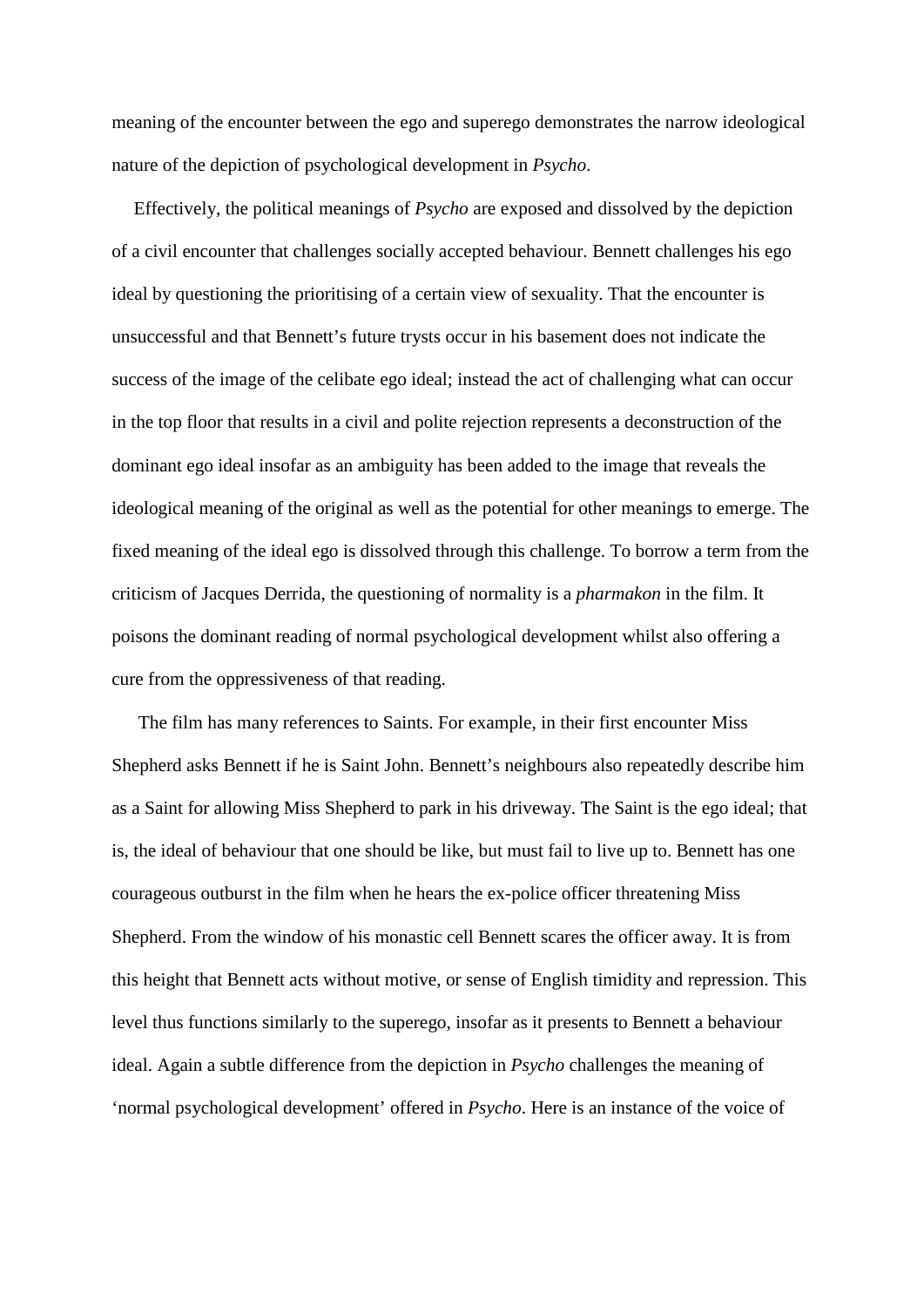meaning of the encounter between the ego and superego demonstrates the narrow ideological nature of the depiction of psychological development in *Psycho*.

Effectively, the political meanings of *Psycho* are exposed and dissolved by the depiction of a civil encounter that challenges socially accepted behaviour. Bennett challenges his ego ideal by questioning the prioritising of a certain view of sexuality. That the encounter is unsuccessful and that Bennett's future trysts occur in his basement does not indicate the success of the image of the celibate ego ideal; instead the act of challenging what can occur in the top floor that results in a civil and polite rejection represents a deconstruction of the dominant ego ideal insofar as an ambiguity has been added to the image that reveals the ideological meaning of the original as well as the potential for other meanings to emerge. The fixed meaning of the ideal ego is dissolved through this challenge. To borrow a term from the criticism of Jacques Derrida, the questioning of normality is a *pharmakon* in the film. It poisons the dominant reading of normal psychological development whilst also offering a cure from the oppressiveness of that reading.

The film has many references to Saints. For example, in their first encounter Miss Shepherd asks Bennett if he is Saint John. Bennett's neighbours also repeatedly describe him as a Saint for allowing Miss Shepherd to park in his driveway. The Saint is the ego ideal; that is, the ideal of behaviour that one should be like, but must fail to live up to. Bennett has one courageous outburst in the film when he hears the ex-police officer threatening Miss Shepherd. From the window of his monastic cell Bennett scares the officer away. It is from this height that Bennett acts without motive, or sense of English timidity and repression. This level thus functions similarly to the superego, insofar as it presents to Bennett a behaviour ideal. Again a subtle difference from the depiction in *Psycho* challenges the meaning of 'normal psychological development' offered in *Psycho*. Here is an instance of the voice of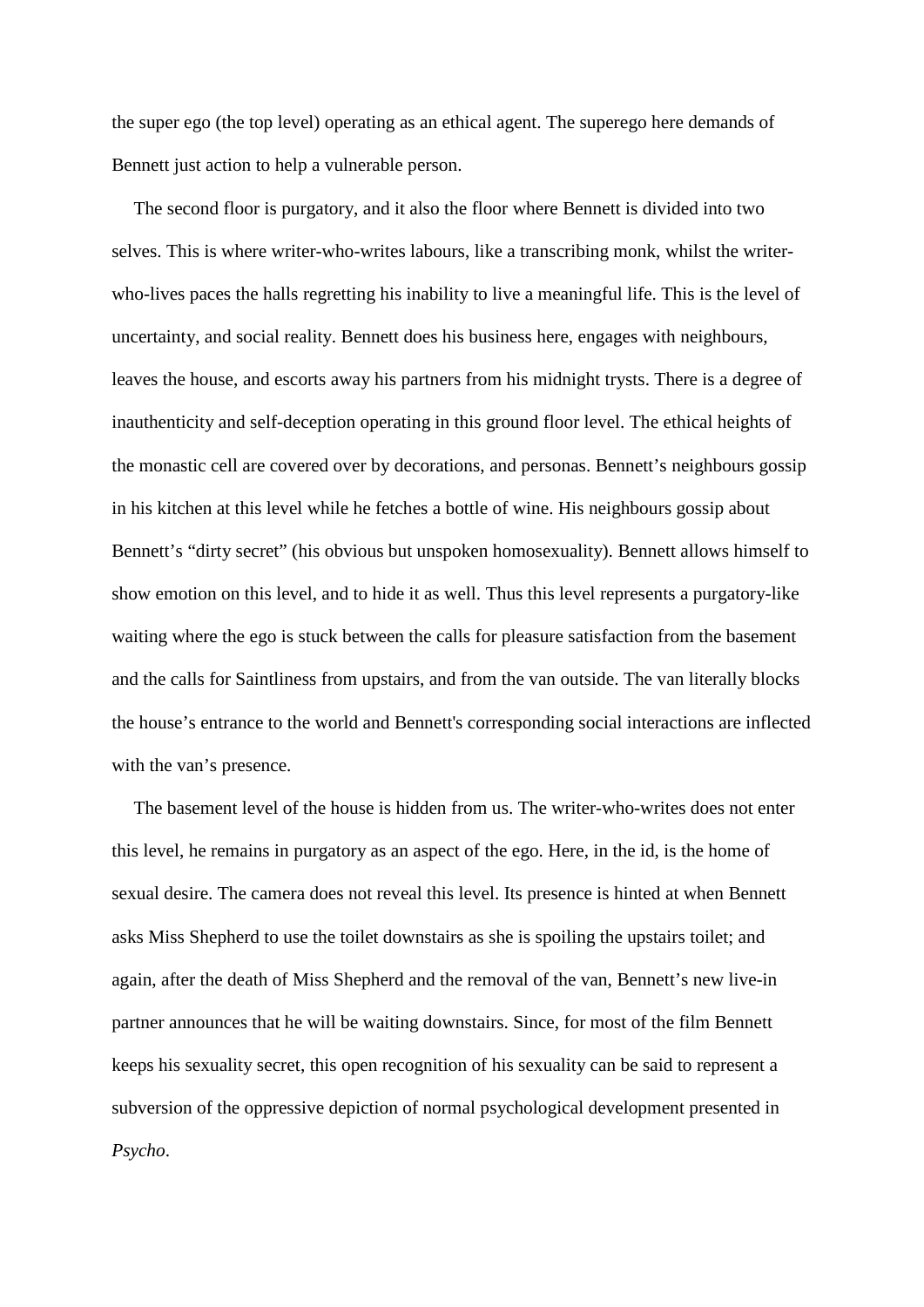the super ego (the top level) operating as an ethical agent. The superego here demands of Bennett just action to help a vulnerable person.

The second floor is purgatory, and it also the floor where Bennett is divided into two selves. This is where writer-who-writes labours, like a transcribing monk, whilst the writerwho-lives paces the halls regretting his inability to live a meaningful life. This is the level of uncertainty, and social reality. Bennett does his business here, engages with neighbours, leaves the house, and escorts away his partners from his midnight trysts. There is a degree of inauthenticity and self-deception operating in this ground floor level. The ethical heights of the monastic cell are covered over by decorations, and personas. Bennett's neighbours gossip in his kitchen at this level while he fetches a bottle of wine. His neighbours gossip about Bennett's "dirty secret" (his obvious but unspoken homosexuality). Bennett allows himself to show emotion on this level, and to hide it as well. Thus this level represents a purgatory-like waiting where the ego is stuck between the calls for pleasure satisfaction from the basement and the calls for Saintliness from upstairs, and from the van outside. The van literally blocks the house's entrance to the world and Bennett's corresponding social interactions are inflected with the van's presence.

The basement level of the house is hidden from us. The writer-who-writes does not enter this level, he remains in purgatory as an aspect of the ego. Here, in the id, is the home of sexual desire. The camera does not reveal this level. Its presence is hinted at when Bennett asks Miss Shepherd to use the toilet downstairs as she is spoiling the upstairs toilet; and again, after the death of Miss Shepherd and the removal of the van, Bennett's new live-in partner announces that he will be waiting downstairs. Since, for most of the film Bennett keeps his sexuality secret, this open recognition of his sexuality can be said to represent a subversion of the oppressive depiction of normal psychological development presented in *Psycho*.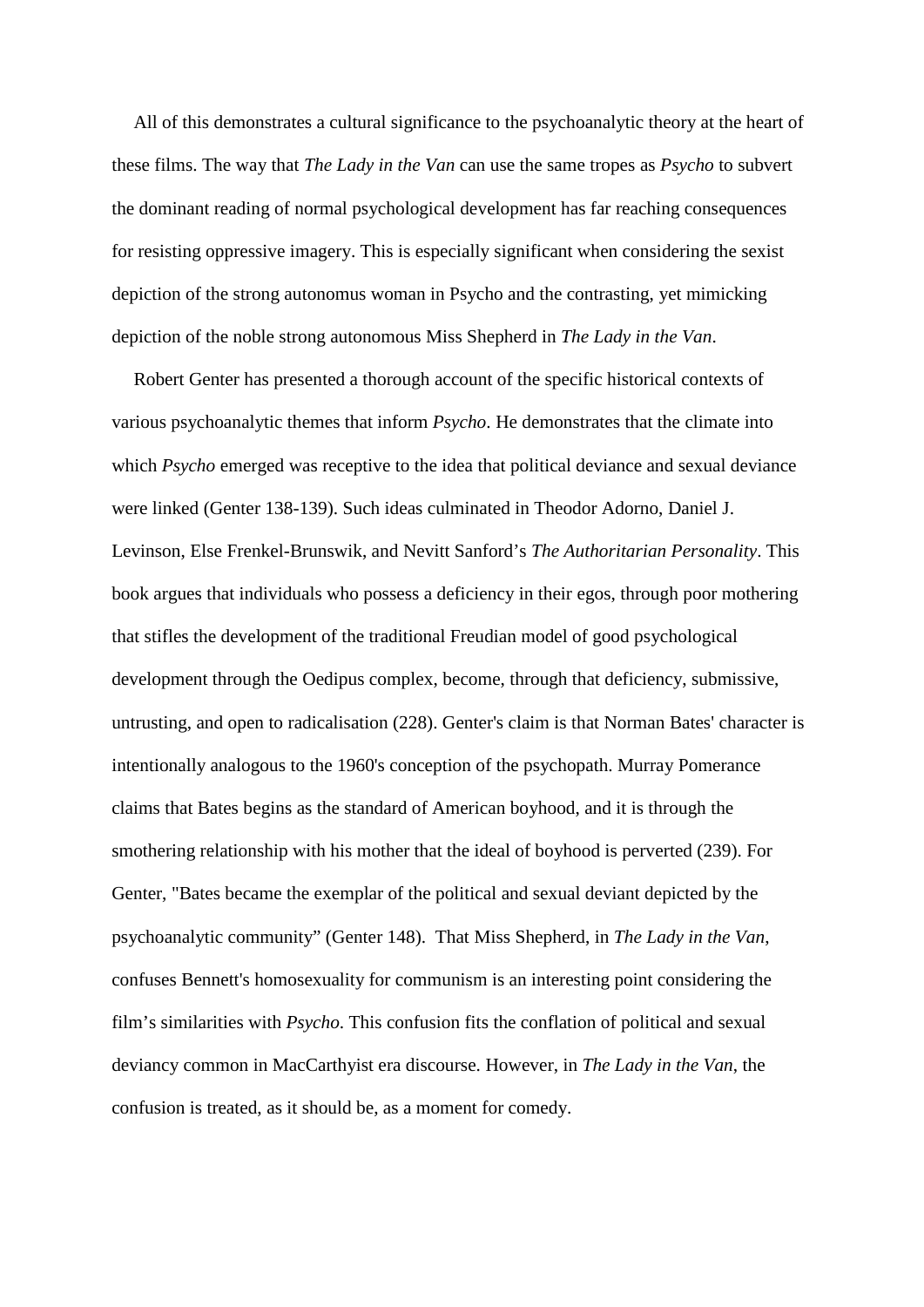All of this demonstrates a cultural significance to the psychoanalytic theory at the heart of these films. The way that *The Lady in the Van* can use the same tropes as *Psycho* to subvert the dominant reading of normal psychological development has far reaching consequences for resisting oppressive imagery. This is especially significant when considering the sexist depiction of the strong autonomus woman in Psycho and the contrasting, yet mimicking depiction of the noble strong autonomous Miss Shepherd in *The Lady in the Van*.

Robert Genter has presented a thorough account of the specific historical contexts of various psychoanalytic themes that inform *Psycho*. He demonstrates that the climate into which *Psycho* emerged was receptive to the idea that political deviance and sexual deviance were linked (Genter 138-139). Such ideas culminated in Theodor Adorno, Daniel J. Levinson, Else Frenkel-Brunswik, and Nevitt Sanford's *The Authoritarian Personality*. This book argues that individuals who possess a deficiency in their egos, through poor mothering that stifles the development of the traditional Freudian model of good psychological development through the Oedipus complex, become, through that deficiency, submissive, untrusting, and open to radicalisation (228). Genter's claim is that Norman Bates' character is intentionally analogous to the 1960's conception of the psychopath. Murray Pomerance claims that Bates begins as the standard of American boyhood, and it is through the smothering relationship with his mother that the ideal of boyhood is perverted (239). For Genter, "Bates became the exemplar of the political and sexual deviant depicted by the psychoanalytic community" (Genter 148). That Miss Shepherd, in *The Lady in the Van*, confuses Bennett's homosexuality for communism is an interesting point considering the film's similarities with *Psycho*. This confusion fits the conflation of political and sexual deviancy common in MacCarthyist era discourse. However, in *The Lady in the Van*, the confusion is treated, as it should be, as a moment for comedy.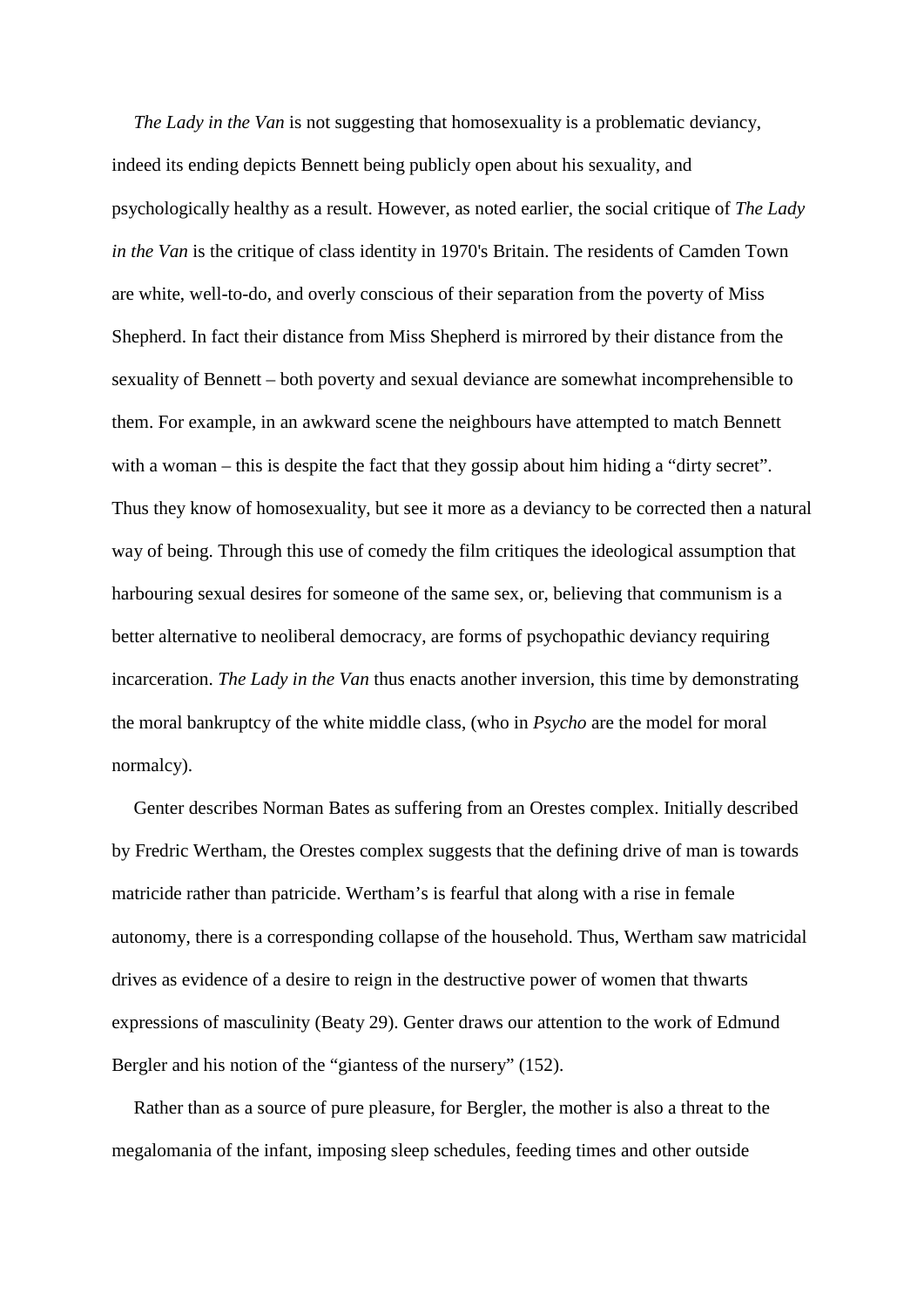*The Lady in the Van* is not suggesting that homosexuality is a problematic deviancy, indeed its ending depicts Bennett being publicly open about his sexuality, and psychologically healthy as a result. However, as noted earlier, the social critique of *The Lady in the Van* is the critique of class identity in 1970's Britain. The residents of Camden Town are white, well-to-do, and overly conscious of their separation from the poverty of Miss Shepherd. In fact their distance from Miss Shepherd is mirrored by their distance from the sexuality of Bennett – both poverty and sexual deviance are somewhat incomprehensible to them. For example, in an awkward scene the neighbours have attempted to match Bennett with a woman – this is despite the fact that they gossip about him hiding a "dirty secret". Thus they know of homosexuality, but see it more as a deviancy to be corrected then a natural way of being. Through this use of comedy the film critiques the ideological assumption that harbouring sexual desires for someone of the same sex, or, believing that communism is a better alternative to neoliberal democracy, are forms of psychopathic deviancy requiring incarceration. *The Lady in the Van* thus enacts another inversion, this time by demonstrating the moral bankruptcy of the white middle class, (who in *Psycho* are the model for moral normalcy).

Genter describes Norman Bates as suffering from an Orestes complex. Initially described by Fredric Wertham, the Orestes complex suggests that the defining drive of man is towards matricide rather than patricide. Wertham's is fearful that along with a rise in female autonomy, there is a corresponding collapse of the household. Thus, Wertham saw matricidal drives as evidence of a desire to reign in the destructive power of women that thwarts expressions of masculinity (Beaty 29). Genter draws our attention to the work of Edmund Bergler and his notion of the "giantess of the nursery" (152).

Rather than as a source of pure pleasure, for Bergler, the mother is also a threat to the megalomania of the infant, imposing sleep schedules, feeding times and other outside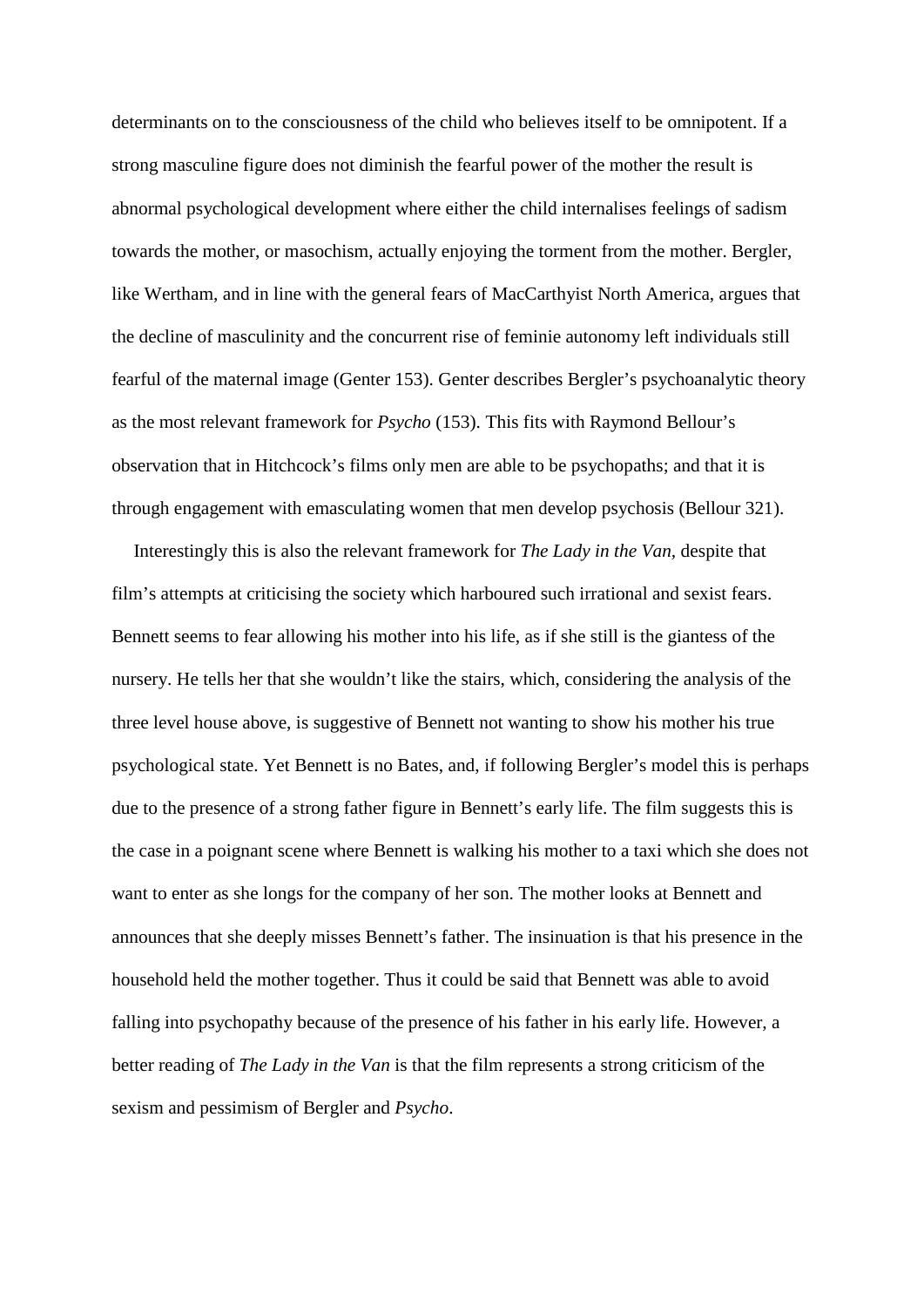determinants on to the consciousness of the child who believes itself to be omnipotent. If a strong masculine figure does not diminish the fearful power of the mother the result is abnormal psychological development where either the child internalises feelings of sadism towards the mother, or masochism, actually enjoying the torment from the mother. Bergler, like Wertham, and in line with the general fears of MacCarthyist North America, argues that the decline of masculinity and the concurrent rise of feminie autonomy left individuals still fearful of the maternal image (Genter 153). Genter describes Bergler's psychoanalytic theory as the most relevant framework for *Psycho* (153). This fits with Raymond Bellour's observation that in Hitchcock's films only men are able to be psychopaths; and that it is through engagement with emasculating women that men develop psychosis (Bellour 321).

Interestingly this is also the relevant framework for *The Lady in the Van,* despite that film's attempts at criticising the society which harboured such irrational and sexist fears. Bennett seems to fear allowing his mother into his life, as if she still is the giantess of the nursery. He tells her that she wouldn't like the stairs, which, considering the analysis of the three level house above, is suggestive of Bennett not wanting to show his mother his true psychological state. Yet Bennett is no Bates, and, if following Bergler's model this is perhaps due to the presence of a strong father figure in Bennett's early life. The film suggests this is the case in a poignant scene where Bennett is walking his mother to a taxi which she does not want to enter as she longs for the company of her son. The mother looks at Bennett and announces that she deeply misses Bennett's father. The insinuation is that his presence in the household held the mother together. Thus it could be said that Bennett was able to avoid falling into psychopathy because of the presence of his father in his early life. However, a better reading of *The Lady in the Van* is that the film represents a strong criticism of the sexism and pessimism of Bergler and *Psycho*.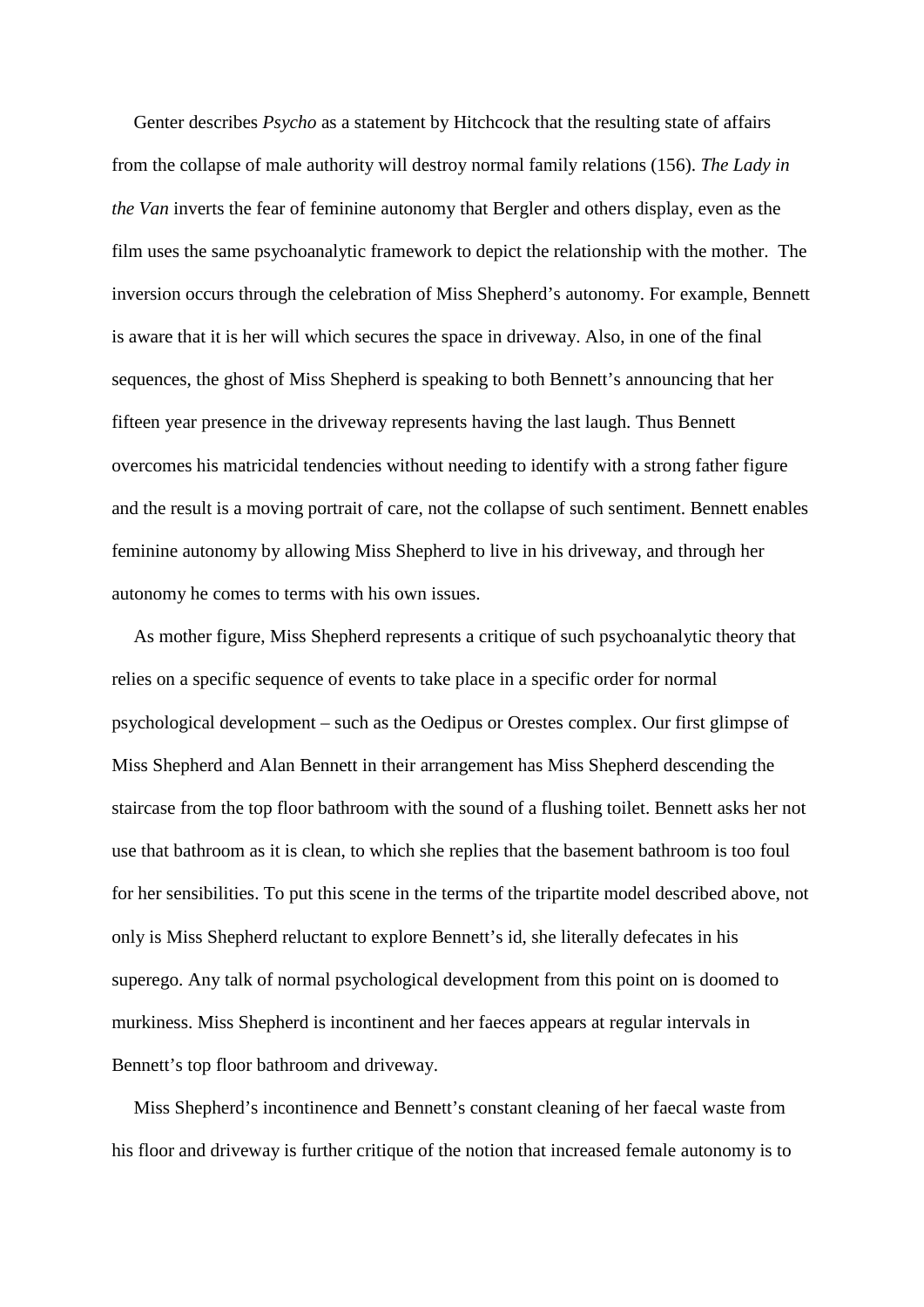Genter describes *Psycho* as a statement by Hitchcock that the resulting state of affairs from the collapse of male authority will destroy normal family relations (156). *The Lady in the Van* inverts the fear of feminine autonomy that Bergler and others display, even as the film uses the same psychoanalytic framework to depict the relationship with the mother. The inversion occurs through the celebration of Miss Shepherd's autonomy. For example, Bennett is aware that it is her will which secures the space in driveway. Also, in one of the final sequences, the ghost of Miss Shepherd is speaking to both Bennett's announcing that her fifteen year presence in the driveway represents having the last laugh. Thus Bennett overcomes his matricidal tendencies without needing to identify with a strong father figure and the result is a moving portrait of care, not the collapse of such sentiment. Bennett enables feminine autonomy by allowing Miss Shepherd to live in his driveway, and through her autonomy he comes to terms with his own issues.

As mother figure, Miss Shepherd represents a critique of such psychoanalytic theory that relies on a specific sequence of events to take place in a specific order for normal psychological development – such as the Oedipus or Orestes complex. Our first glimpse of Miss Shepherd and Alan Bennett in their arrangement has Miss Shepherd descending the staircase from the top floor bathroom with the sound of a flushing toilet. Bennett asks her not use that bathroom as it is clean, to which she replies that the basement bathroom is too foul for her sensibilities. To put this scene in the terms of the tripartite model described above, not only is Miss Shepherd reluctant to explore Bennett's id, she literally defecates in his superego. Any talk of normal psychological development from this point on is doomed to murkiness. Miss Shepherd is incontinent and her faeces appears at regular intervals in Bennett's top floor bathroom and driveway.

Miss Shepherd's incontinence and Bennett's constant cleaning of her faecal waste from his floor and driveway is further critique of the notion that increased female autonomy is to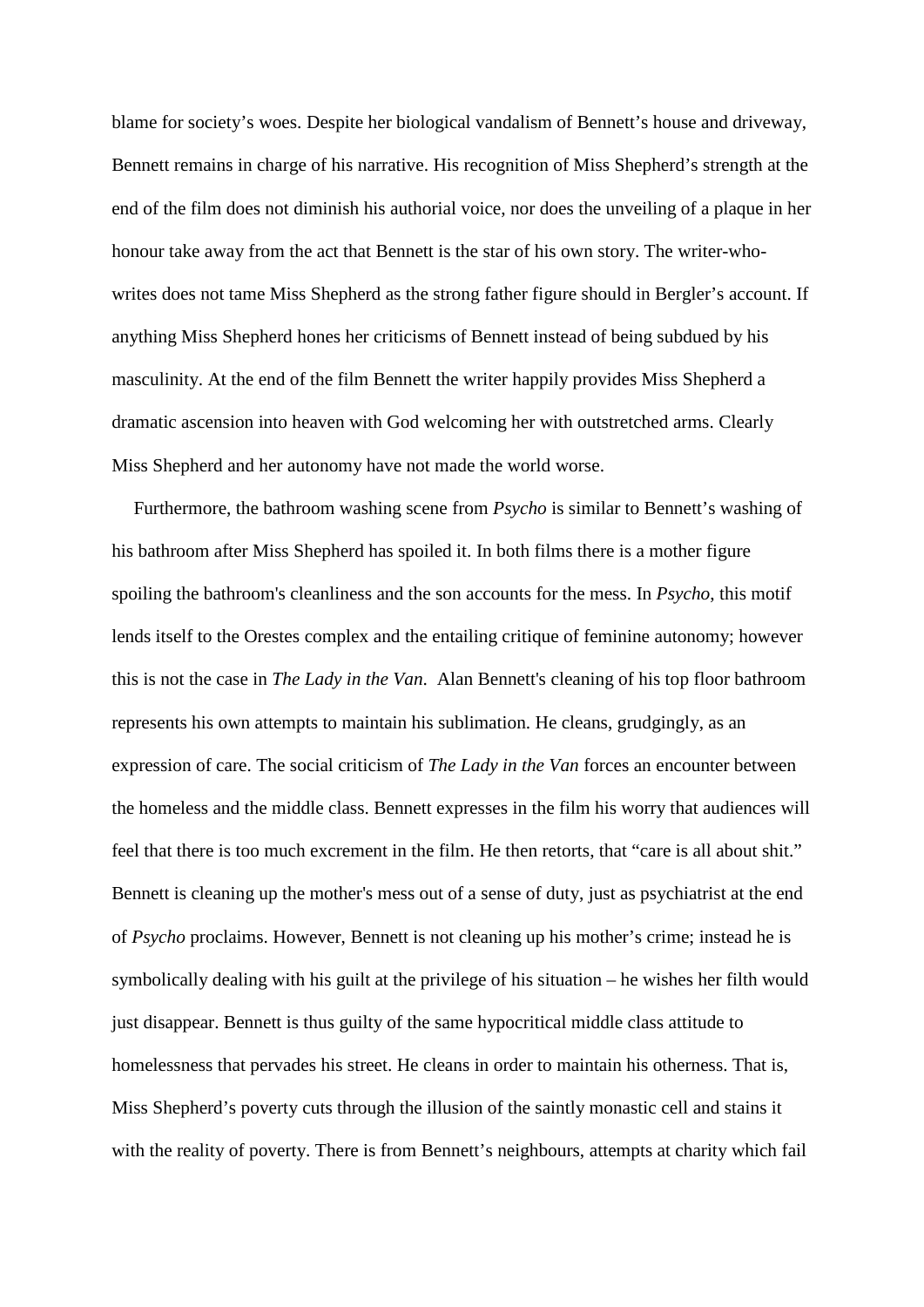blame for society's woes. Despite her biological vandalism of Bennett's house and driveway, Bennett remains in charge of his narrative. His recognition of Miss Shepherd's strength at the end of the film does not diminish his authorial voice, nor does the unveiling of a plaque in her honour take away from the act that Bennett is the star of his own story. The writer-whowrites does not tame Miss Shepherd as the strong father figure should in Bergler's account. If anything Miss Shepherd hones her criticisms of Bennett instead of being subdued by his masculinity. At the end of the film Bennett the writer happily provides Miss Shepherd a dramatic ascension into heaven with God welcoming her with outstretched arms. Clearly Miss Shepherd and her autonomy have not made the world worse.

Furthermore, the bathroom washing scene from *Psycho* is similar to Bennett's washing of his bathroom after Miss Shepherd has spoiled it. In both films there is a mother figure spoiling the bathroom's cleanliness and the son accounts for the mess. In *Psycho*, this motif lends itself to the Orestes complex and the entailing critique of feminine autonomy; however this is not the case in *The Lady in the Van*. Alan Bennett's cleaning of his top floor bathroom represents his own attempts to maintain his sublimation. He cleans, grudgingly, as an expression of care. The social criticism of *The Lady in the Van* forces an encounter between the homeless and the middle class. Bennett expresses in the film his worry that audiences will feel that there is too much excrement in the film. He then retorts, that "care is all about shit." Bennett is cleaning up the mother's mess out of a sense of duty, just as psychiatrist at the end of *Psycho* proclaims. However, Bennett is not cleaning up his mother's crime; instead he is symbolically dealing with his guilt at the privilege of his situation – he wishes her filth would just disappear. Bennett is thus guilty of the same hypocritical middle class attitude to homelessness that pervades his street. He cleans in order to maintain his otherness. That is, Miss Shepherd's poverty cuts through the illusion of the saintly monastic cell and stains it with the reality of poverty. There is from Bennett's neighbours, attempts at charity which fail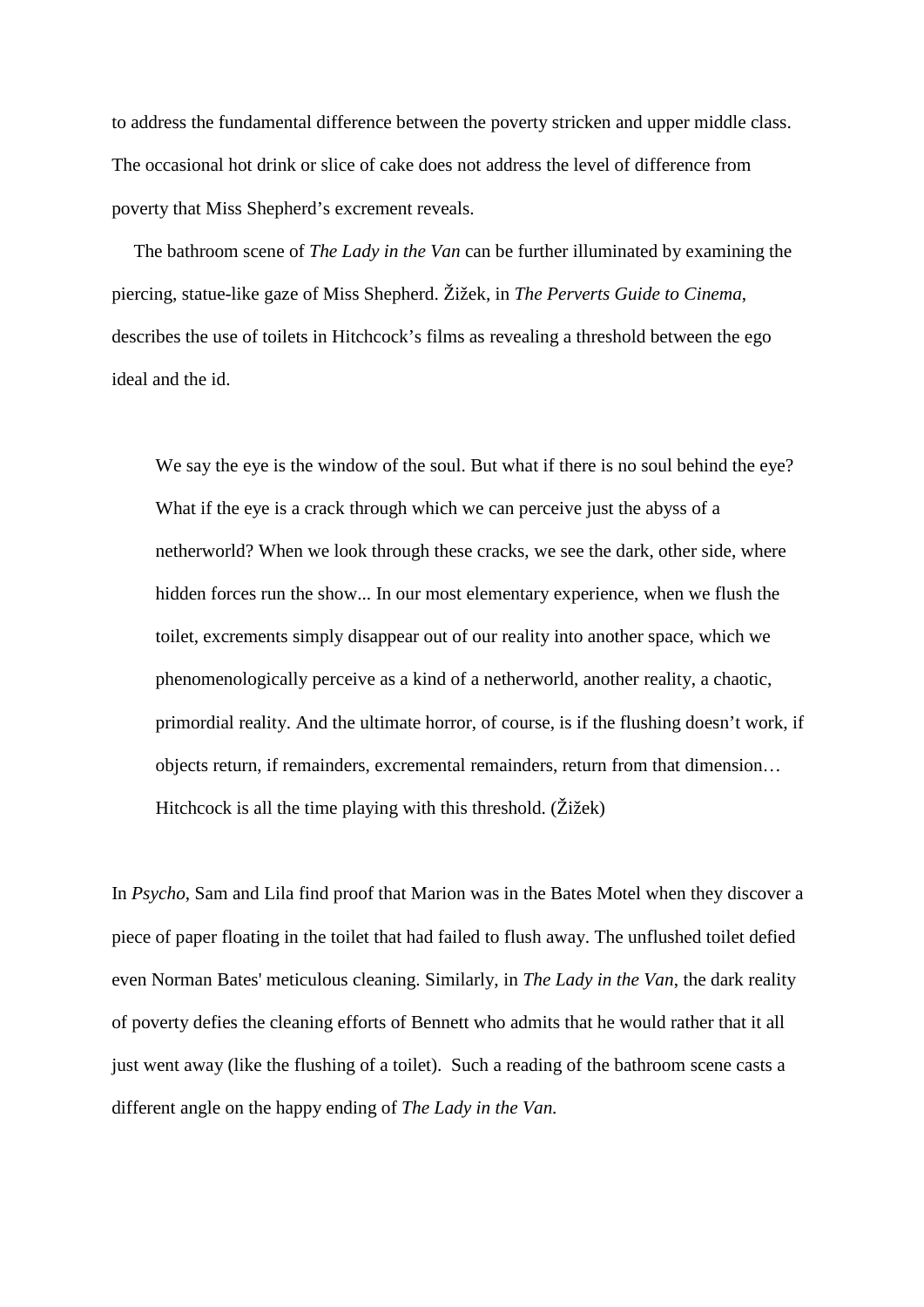to address the fundamental difference between the poverty stricken and upper middle class. The occasional hot drink or slice of cake does not address the level of difference from poverty that Miss Shepherd's excrement reveals.

The bathroom scene of *The Lady in the Van* can be further illuminated by examining the piercing, statue-like gaze of Miss Shepherd. Žižek, in *The Perverts Guide to Cinema*, describes the use of toilets in Hitchcock's films as revealing a threshold between the ego ideal and the id.

We say the eye is the window of the soul. But what if there is no soul behind the eye? What if the eye is a crack through which we can perceive just the abyss of a netherworld? When we look through these cracks, we see the dark, other side, where hidden forces run the show... In our most elementary experience, when we flush the toilet, excrements simply disappear out of our reality into another space, which we phenomenologically perceive as a kind of a netherworld, another reality, a chaotic, primordial reality. And the ultimate horror, of course, is if the flushing doesn't work, if objects return, if remainders, excremental remainders, return from that dimension… Hitchcock is all the time playing with this threshold. (Žižek)

In *Psycho*, Sam and Lila find proof that Marion was in the Bates Motel when they discover a piece of paper floating in the toilet that had failed to flush away. The unflushed toilet defied even Norman Bates' meticulous cleaning. Similarly, in *The Lady in the Van*, the dark reality of poverty defies the cleaning efforts of Bennett who admits that he would rather that it all just went away (like the flushing of a toilet). Such a reading of the bathroom scene casts a different angle on the happy ending of *The Lady in the Van.*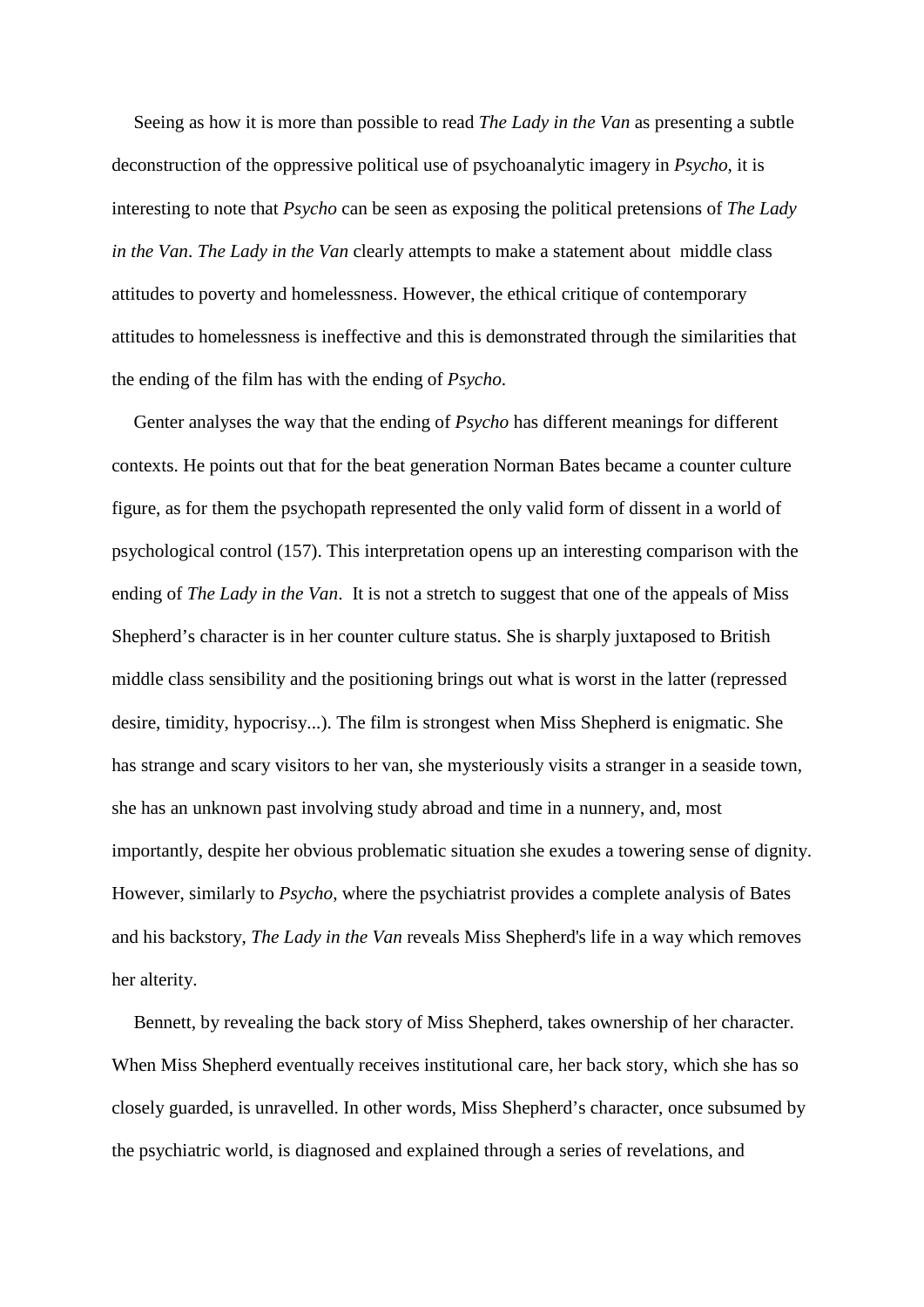Seeing as how it is more than possible to read *The Lady in the Van* as presenting a subtle deconstruction of the oppressive political use of psychoanalytic imagery in *Psycho*, it is interesting to note that *Psycho* can be seen as exposing the political pretensions of *The Lady in the Van*. *The Lady in the Van* clearly attempts to make a statement about middle class attitudes to poverty and homelessness. However, the ethical critique of contemporary attitudes to homelessness is ineffective and this is demonstrated through the similarities that the ending of the film has with the ending of *Psycho*.

Genter analyses the way that the ending of *Psycho* has different meanings for different contexts. He points out that for the beat generation Norman Bates became a counter culture figure, as for them the psychopath represented the only valid form of dissent in a world of psychological control (157). This interpretation opens up an interesting comparison with the ending of *The Lady in the Van*. It is not a stretch to suggest that one of the appeals of Miss Shepherd's character is in her counter culture status. She is sharply juxtaposed to British middle class sensibility and the positioning brings out what is worst in the latter (repressed desire, timidity, hypocrisy...). The film is strongest when Miss Shepherd is enigmatic. She has strange and scary visitors to her van, she mysteriously visits a stranger in a seaside town, she has an unknown past involving study abroad and time in a nunnery, and, most importantly, despite her obvious problematic situation she exudes a towering sense of dignity. However, similarly to *Psycho*, where the psychiatrist provides a complete analysis of Bates and his backstory, *The Lady in the Van* reveals Miss Shepherd's life in a way which removes her alterity.

Bennett, by revealing the back story of Miss Shepherd, takes ownership of her character. When Miss Shepherd eventually receives institutional care, her back story, which she has so closely guarded, is unravelled. In other words, Miss Shepherd's character, once subsumed by the psychiatric world, is diagnosed and explained through a series of revelations, and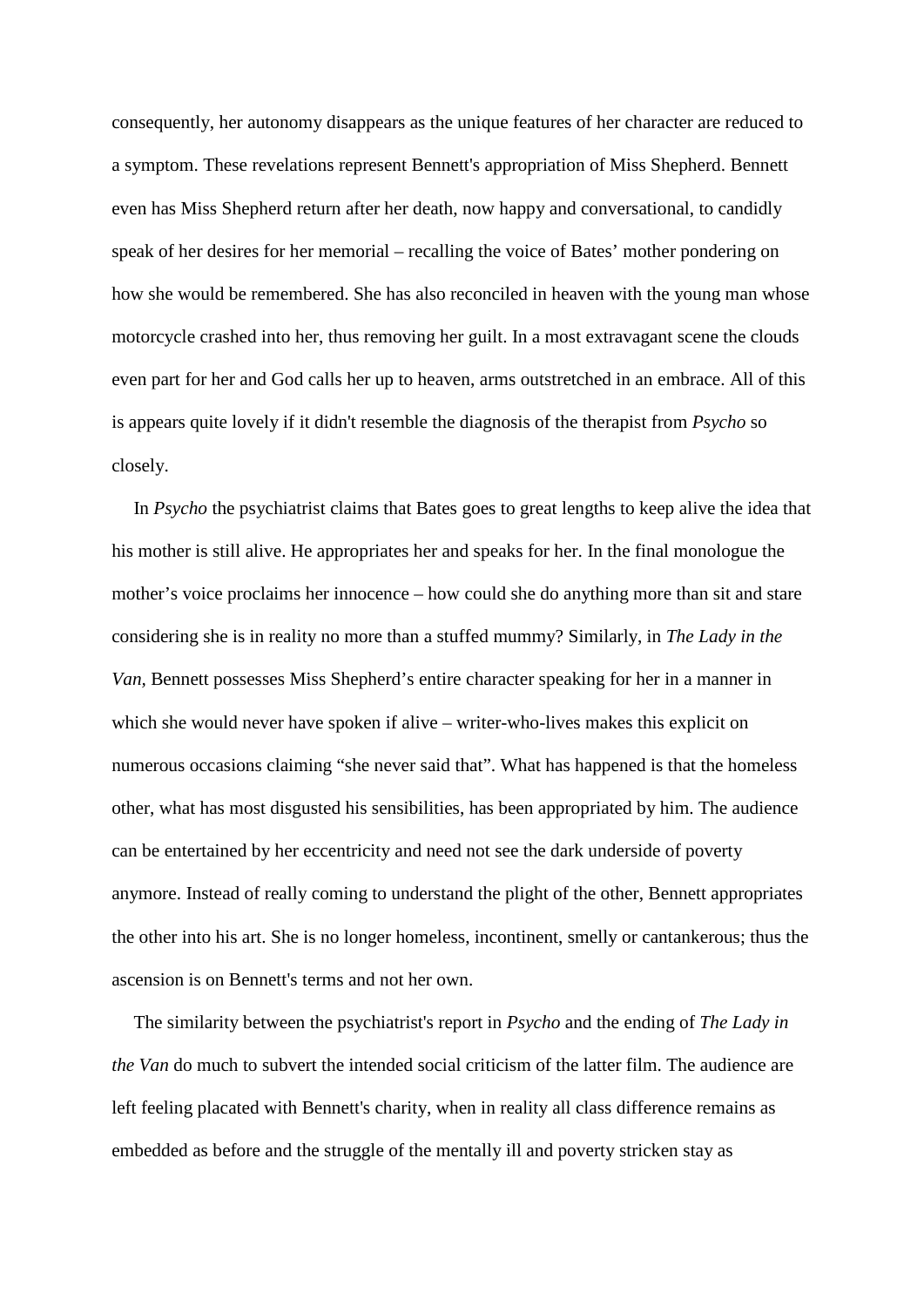consequently, her autonomy disappears as the unique features of her character are reduced to a symptom. These revelations represent Bennett's appropriation of Miss Shepherd. Bennett even has Miss Shepherd return after her death, now happy and conversational, to candidly speak of her desires for her memorial – recalling the voice of Bates' mother pondering on how she would be remembered. She has also reconciled in heaven with the young man whose motorcycle crashed into her, thus removing her guilt. In a most extravagant scene the clouds even part for her and God calls her up to heaven, arms outstretched in an embrace. All of this is appears quite lovely if it didn't resemble the diagnosis of the therapist from *Psycho* so closely.

In *Psycho* the psychiatrist claims that Bates goes to great lengths to keep alive the idea that his mother is still alive. He appropriates her and speaks for her. In the final monologue the mother's voice proclaims her innocence – how could she do anything more than sit and stare considering she is in reality no more than a stuffed mummy? Similarly, in *The Lady in the Van,* Bennett possesses Miss Shepherd's entire character speaking for her in a manner in which she would never have spoken if alive – writer-who-lives makes this explicit on numerous occasions claiming "she never said that". What has happened is that the homeless other, what has most disgusted his sensibilities, has been appropriated by him. The audience can be entertained by her eccentricity and need not see the dark underside of poverty anymore. Instead of really coming to understand the plight of the other, Bennett appropriates the other into his art. She is no longer homeless, incontinent, smelly or cantankerous; thus the ascension is on Bennett's terms and not her own.

The similarity between the psychiatrist's report in *Psycho* and the ending of *The Lady in the Van* do much to subvert the intended social criticism of the latter film. The audience are left feeling placated with Bennett's charity, when in reality all class difference remains as embedded as before and the struggle of the mentally ill and poverty stricken stay as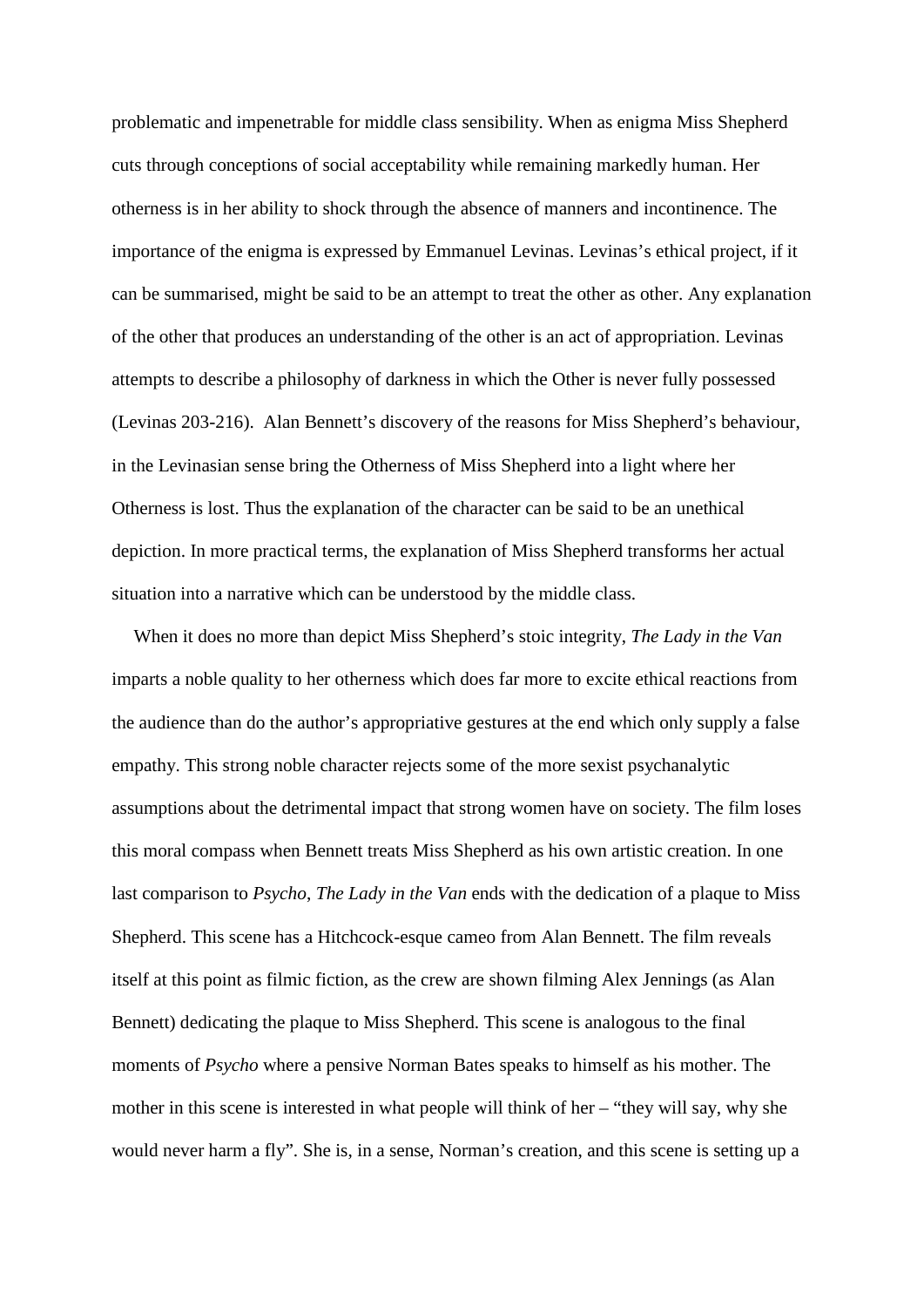problematic and impenetrable for middle class sensibility. When as enigma Miss Shepherd cuts through conceptions of social acceptability while remaining markedly human. Her otherness is in her ability to shock through the absence of manners and incontinence. The importance of the enigma is expressed by Emmanuel Levinas. Levinas's ethical project, if it can be summarised, might be said to be an attempt to treat the other as other. Any explanation of the other that produces an understanding of the other is an act of appropriation. Levinas attempts to describe a philosophy of darkness in which the Other is never fully possessed (Levinas 203-216). Alan Bennett's discovery of the reasons for Miss Shepherd's behaviour, in the Levinasian sense bring the Otherness of Miss Shepherd into a light where her Otherness is lost. Thus the explanation of the character can be said to be an unethical depiction. In more practical terms, the explanation of Miss Shepherd transforms her actual situation into a narrative which can be understood by the middle class.

When it does no more than depict Miss Shepherd's stoic integrity, *The Lady in the Van* imparts a noble quality to her otherness which does far more to excite ethical reactions from the audience than do the author's appropriative gestures at the end which only supply a false empathy. This strong noble character rejects some of the more sexist psychanalytic assumptions about the detrimental impact that strong women have on society. The film loses this moral compass when Bennett treats Miss Shepherd as his own artistic creation. In one last comparison to *Psycho*, *The Lady in the Van* ends with the dedication of a plaque to Miss Shepherd. This scene has a Hitchcock-esque cameo from Alan Bennett. The film reveals itself at this point as filmic fiction, as the crew are shown filming Alex Jennings (as Alan Bennett) dedicating the plaque to Miss Shepherd. This scene is analogous to the final moments of *Psycho* where a pensive Norman Bates speaks to himself as his mother. The mother in this scene is interested in what people will think of her – "they will say, why she would never harm a fly". She is, in a sense, Norman's creation, and this scene is setting up a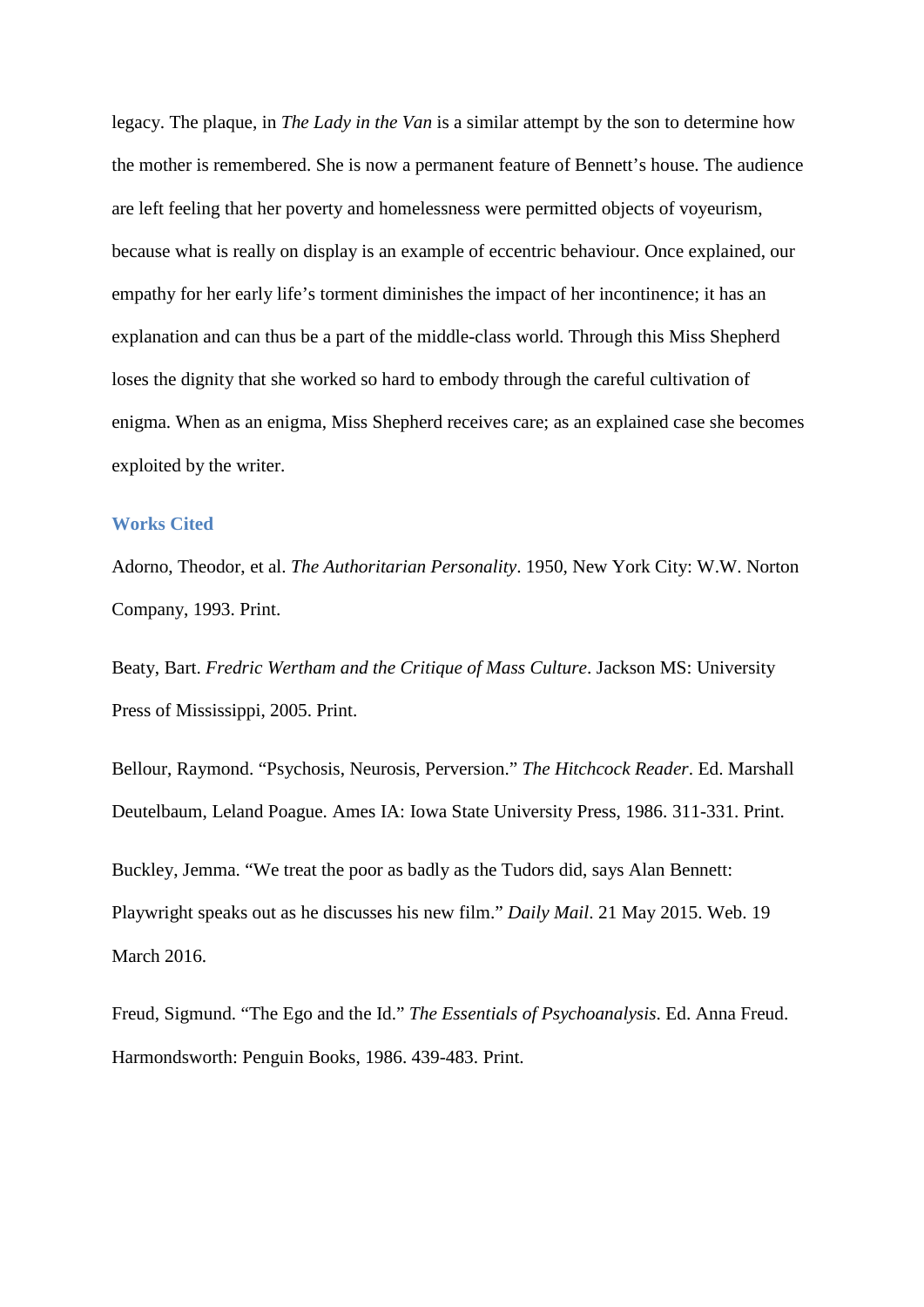legacy. The plaque, in *The Lady in the Van* is a similar attempt by the son to determine how the mother is remembered. She is now a permanent feature of Bennett's house. The audience are left feeling that her poverty and homelessness were permitted objects of voyeurism, because what is really on display is an example of eccentric behaviour. Once explained, our empathy for her early life's torment diminishes the impact of her incontinence; it has an explanation and can thus be a part of the middle-class world. Through this Miss Shepherd loses the dignity that she worked so hard to embody through the careful cultivation of enigma. When as an enigma, Miss Shepherd receives care; as an explained case she becomes exploited by the writer.

## **Works Cited**

Adorno, Theodor, et al. *The Authoritarian Personality*. 1950, New York City: W.W. Norton Company, 1993. Print.

Beaty, Bart. *Fredric Wertham and the Critique of Mass Culture*. Jackson MS: University Press of Mississippi, 2005. Print.

Bellour, Raymond. "Psychosis, Neurosis, Perversion." *The Hitchcock Reader*. Ed. Marshall Deutelbaum, Leland Poague. Ames IA: Iowa State University Press, 1986. 311-331. Print.

Buckley, Jemma. "We treat the poor as badly as the Tudors did, says Alan Bennett: Playwright speaks out as he discusses his new film." *Daily Mail*. 21 May 2015. Web. 19 March 2016.

Freud, Sigmund. "The Ego and the Id." *The Essentials of Psychoanalysis*. Ed. Anna Freud. Harmondsworth: Penguin Books, 1986. 439-483. Print.